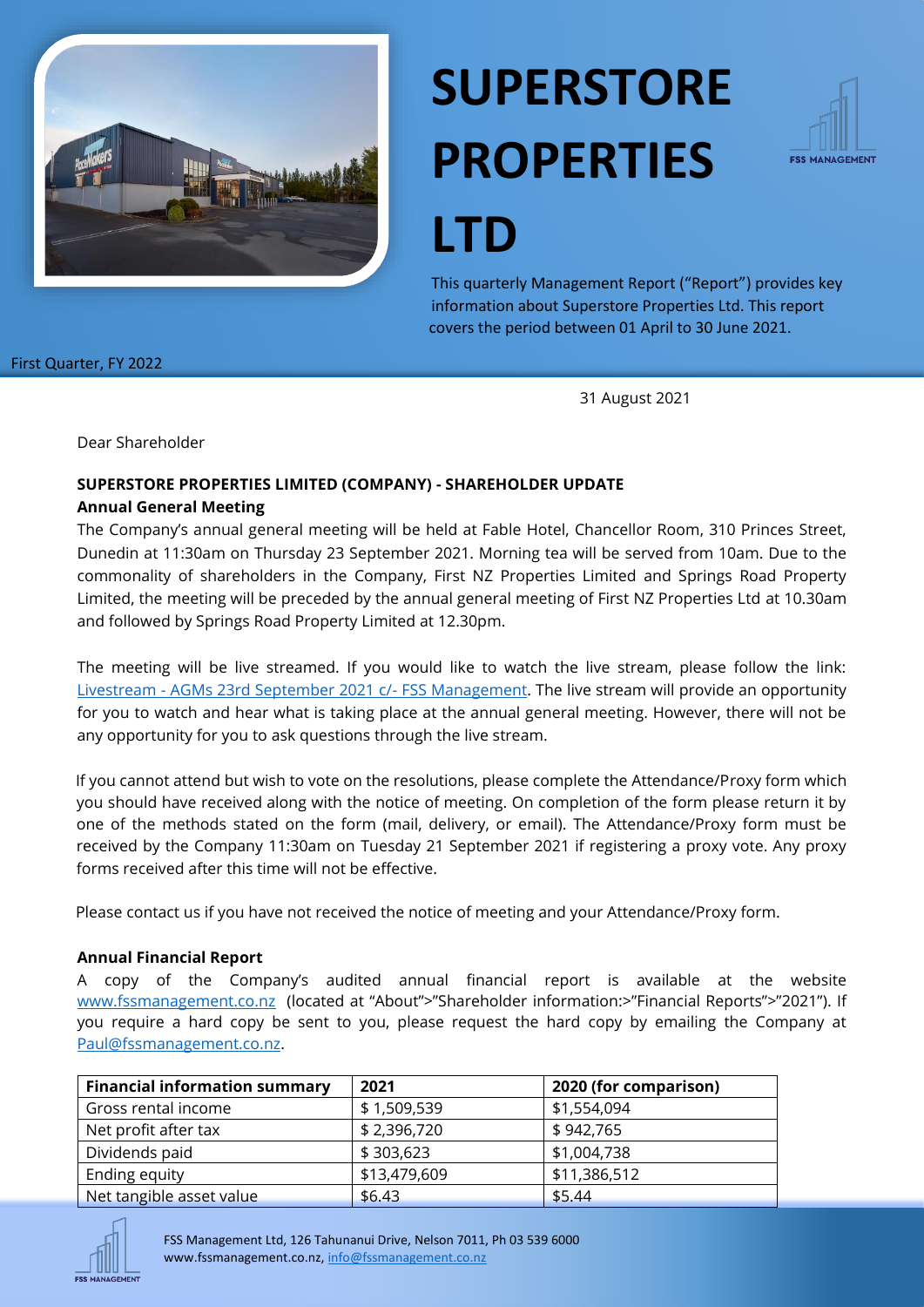

# **SUPERSTORE PROPERTIES**



**LTD**

This quarterly Management Report ("Report") provides key information about Superstore Properties Ltd. This report covers the period between 01 April to 30 June 2021.

First Quarter, FY 2022

31 August 2021

Dear Shareholder

# **SUPERSTORE PROPERTIES LIMITED (COMPANY) - SHAREHOLDER UPDATE**

#### **Annual General Meeting**

The Company's annual general meeting will be held at Fable Hotel, Chancellor Room, 310 Princes Street, Dunedin at 11:30am on Thursday 23 September 2021. Morning tea will be served from 10am. Due to the commonality of shareholders in the Company, First NZ Properties Limited and Springs Road Property Limited, the meeting will be preceded by the annual general meeting of First NZ Properties Ltd at 10.30am and followed by Springs Road Property Limited at 12.30pm.

The meeting will be live streamed. If you would like to watch the live stream, please follow the link: Livestream - [AGMs 23rd September 2021 c/-](https://youtu.be/FaZxUT3HjLA) FSS Management. The live stream will provide an opportunity for you to watch and hear what is taking place at the annual general meeting. However, there will not be any opportunity for you to ask questions through the live stream.

If you cannot attend but wish to vote on the resolutions, please complete the Attendance/Proxy form which you should have received along with the notice of meeting. On completion of the form please return it by one of the methods stated on the form (mail, delivery, or email). The Attendance/Proxy form must be received by the Company 11:30am on Tuesday 21 September 2021 if registering a proxy vote. Any proxy forms received after this time will not be effective.

Please contact us if you have not received the notice of meeting and your Attendance/Proxy form.

#### **Annual Financial Report**

A copy of the Company's audited annual financial report is available at the website [www.fssmanagement.co.nz](http://www.fssmanagement.co.nz/) (located at "About">"Shareholder information:>"Financial Reports">"2021"). If you require a hard copy be sent to you, please request the hard copy by emailing the Company at [Paul@fssmanagement.co.nz.](mailto:Paul@fssmanagement.co.nz)

| <b>Financial information summary</b> | 2021         | 2020 (for comparison) |
|--------------------------------------|--------------|-----------------------|
| Gross rental income                  | \$1,509,539  | \$1,554,094           |
| Net profit after tax                 | \$2,396,720  | \$942,765             |
| Dividends paid                       | \$303,623    | \$1,004,738           |
| Ending equity                        | \$13,479,609 | \$11,386,512          |
| Net tangible asset value             | \$6.43       | \$5.44                |



FSS Management Ltd, 126 Tahunanui Drive, Nelson 7011, Ph 03 539 6000 www.fssmanagement.co.nz, [info@fssmanagement.co.nz](mailto:info@fssmanagement.co.nz)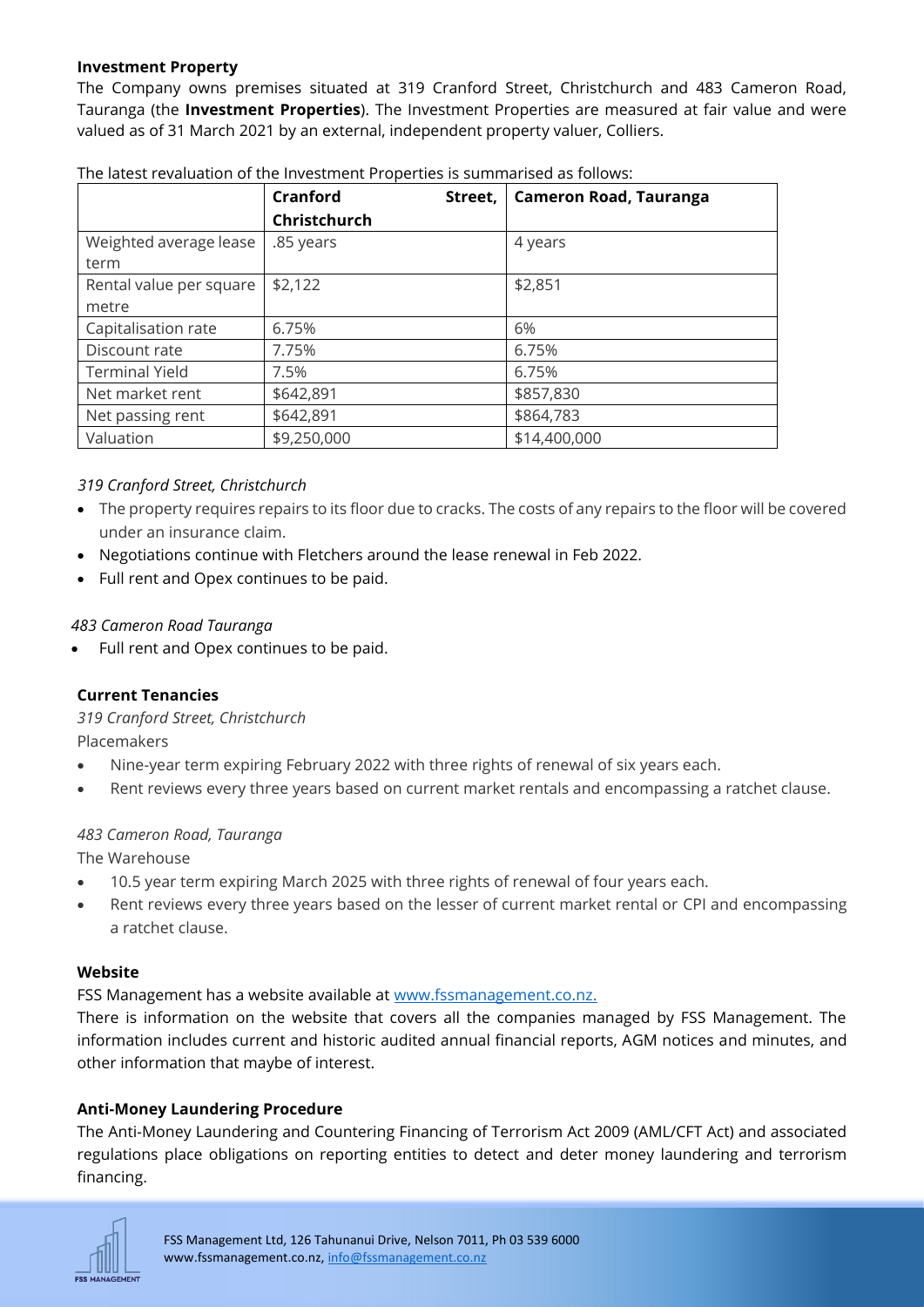#### **Investment Property**

The Company owns premises situated at 319 Cranford Street, Christchurch and 483 Cameron Road, Tauranga (the **Investment Properties**). The Investment Properties are measured at fair value and were valued as of 31 March 2021 by an external, independent property valuer, Colliers.

|                                | Cranford<br>Street,<br>Christchurch | <b>Cameron Road, Tauranga</b> |
|--------------------------------|-------------------------------------|-------------------------------|
| Weighted average lease<br>term | .85 years                           | 4 years                       |
| Rental value per square        | \$2,122                             | \$2,851                       |
| metre                          |                                     |                               |
| Capitalisation rate            | 6.75%                               | 6%                            |
| Discount rate                  | 7.75%                               | 6.75%                         |
| <b>Terminal Yield</b>          | 7.5%                                | 6.75%                         |
| Net market rent                | \$642,891                           | \$857,830                     |
| Net passing rent               | \$642,891                           | \$864,783                     |
| Valuation                      | \$9,250,000                         | \$14,400,000                  |

The latest revaluation of the Investment Properties is summarised as follows:

#### *319 Cranford Street, Christchurch*

- The property requires repairs to its floor due to cracks. The costs of any repairs to the floor will be covered under an insurance claim.
- Negotiations continue with Fletchers around the lease renewal in Feb 2022.
- Full rent and Opex continues to be paid.

#### *483 Cameron Road Tauranga*

• Full rent and Opex continues to be paid.

#### **Current Tenancies**

*319 Cranford Street, Christchurch*

Placemakers

- Nine-year term expiring February 2022 with three rights of renewal of six years each.
- Rent reviews every three years based on current market rentals and encompassing a ratchet clause.

#### *483 Cameron Road, Tauranga*

The Warehouse

- 10.5 year term expiring March 2025 with three rights of renewal of four years each.
- Rent reviews every three years based on the lesser of current market rental or CPI and encompassing a ratchet clause.

#### **Website**

FSS Management has a website available at [www.fssmanagement.co.nz.](http://www.fssmanagement.co.nz/)

There is information on the website that covers all the companies managed by FSS Management. The information includes current and historic audited annual financial reports, AGM notices and minutes, and other information that maybe of interest.

#### **Anti-Money Laundering Procedure**

The Anti-Money Laundering and Countering Financing of Terrorism Act 2009 (AML/CFT Act) and associated regulations place obligations on reporting entities to detect and deter money laundering and terrorism financing.